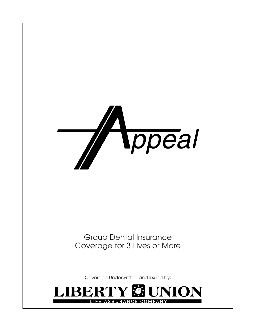

Group Dental Insurance Coverage for 3 Lives or More

Coverage Underwritten and Issued by:

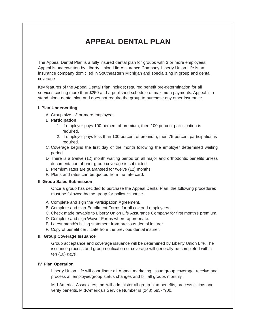# **APPEAL DENTAL PLAN**

The Appeal Dental Plan is a fully insured dental plan for groups with 3 or more employees. Appeal is underwritten by Liberty Union Life Assurance Company. Liberty Union Life is an insurance company domiciled in Southeastern Michigan and specializing in group and dental coverage.

Key features of the Appeal Dental Plan include; required benefit pre-determination for all services costing more than \$250 and a published schedule of maximum payments. Appeal is a stand alone dental plan and does not require the group to purchase any other insurance.

#### **I. Plan Underwriting**

A. Group size - 3 or more employees

#### B. **Participation**

- 1. If employer pays 100 percent of premium, then 100 percent participation is required.
- 2. If employer pays less than 100 percent of premium, then 75 percent participation is required.
- C. Coverage begins the first day of the month following the employer determined waiting period.
- D. There is a twelve (12) month waiting period on all major and orthodontic benefits unless documentation of prior group coverage is submitted.
- E. Premium rates are guaranteed for twelve (12) months.
- F. Plans and rates can be quoted from the rate card.

#### **II. Group Sales Submission**

Once a group has decided to purchase the Appeal Dental Plan, the following procedures must be followed by the group for policy issuance.

- A. Complete and sign the Participation Agreement.
- B. Complete and sign Enrollment Forms for all covered employees.
- C. Check made payable to Liberty Union Life Assurance Company for first month's premium.
- D. Complete and sign Waiver Forms where appropriate.
- E. Latest month's billing statement from previous dental insurer.
- F. Copy of benefit certificate from the previous dental insurer.

#### **III. Group Coverage Issuance**

Group acceptance and coverage issuance will be determined by Liberty Union Life. The issuance process and group notification of coverage will generally be completed within ten (10) days.

### **IV. Plan Operation**

Liberty Union Life will coordinate all Appeal marketing, issue group coverage, receive and process all employee/group status changes and bill all groups monthly.

Mid-America Associates, Inc. will administer all group plan benefits, process claims and verify benefits. Mid-America's Service Number is (248) 585-7900.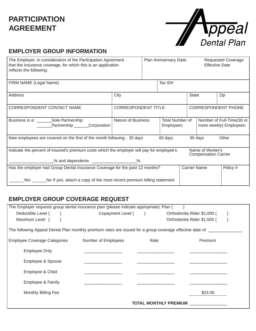## **PARTICIPATION AGREEMENT**

| <b>Ippeal</b> |
|---------------|
| Dental Plan   |

## **EMPLOYER GROUP INFORMATION**

| The Employer, in consideration of the Participation Agreement<br>that the insurance coverage, for which this is an application<br>reflects the following:    |                                                                  |  | Plan Anniversary Date:<br><b>Effective Date</b> |                                                      |                     | <b>Requested Coverage</b> |
|--------------------------------------------------------------------------------------------------------------------------------------------------------------|------------------------------------------------------------------|--|-------------------------------------------------|------------------------------------------------------|---------------------|---------------------------|
| FIRM NAME (Legal Name)                                                                                                                                       |                                                                  |  | Tax ID#                                         |                                                      |                     |                           |
| Address                                                                                                                                                      | City                                                             |  |                                                 | <b>State</b>                                         |                     | Zip                       |
| CORRESPONDENT CONTACT NAME                                                                                                                                   | <b>CORRESPONDENT TITLE</b>                                       |  |                                                 | <b>CORRESPONDENT PHONE</b>                           |                     |                           |
| Business is a: Sole Partnership<br>Partnership Corporation                                                                                                   | <b>Nature of Business</b><br>Total Number of<br><b>Employees</b> |  |                                                 | Number of Full-Time(30 or<br>more weekly) Employees: |                     |                           |
| New employees are covered on the first of the month following - 30 days<br>Other<br>60 days<br>90 days                                                       |                                                                  |  |                                                 |                                                      |                     |                           |
| Indicate the percent of insured's premium costs which the employer will pay for employee's                                                                   |                                                                  |  |                                                 | Name of Worker's<br><b>Compensation Carrier</b>      |                     |                           |
|                                                                                                                                                              |                                                                  |  |                                                 |                                                      |                     |                           |
| Has the employer had Group Dental Insurance Coverage for the past 12 months?<br>Yes<br>No If yes, attach a copy of the most recent premium billing statement |                                                                  |  |                                                 |                                                      | <b>Carrier Name</b> | Policy #                  |

### **EMPLOYER GROUP COVERAGE REQUEST**

| The Employer requests group dental insurance plan (please indicate appropriate): Plan (                        |                     |                              |                             |  |  |
|----------------------------------------------------------------------------------------------------------------|---------------------|------------------------------|-----------------------------|--|--|
| Deductible Level (                                                                                             | Copayment Level ()  |                              | Orthodontia Rider \$1,000 ( |  |  |
| Maximum Level (                                                                                                |                     |                              | Orthodontia Rider \$1,500 ( |  |  |
| The following Appeal Dental Plan monthly premium rates are issued for a group coverage effective date of _____ |                     |                              |                             |  |  |
| <b>Employee Coverage Categories</b>                                                                            | Number of Employees | Rate                         | Premium                     |  |  |
| <b>Employee Only</b>                                                                                           |                     |                              |                             |  |  |
| Employee & Spouse                                                                                              |                     |                              |                             |  |  |
| Employee & Child                                                                                               |                     |                              |                             |  |  |
| Employee & Family                                                                                              |                     |                              |                             |  |  |
| Monthly Billing Fee                                                                                            |                     |                              | \$15.00                     |  |  |
|                                                                                                                |                     | <b>TOTAL MONTHLY PREMIUM</b> |                             |  |  |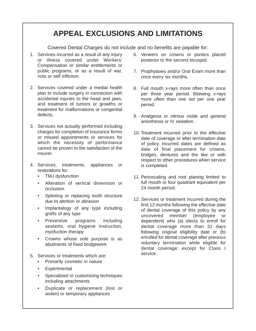# **APPEAL EXCLUSIONS AND LIMITATIONS**

Covered Dental Charges do not include and no benefits are payable for:

- 1. Services incurred as a result of any injury or illness covered under Workers' Compensation or similar entitlements or public programs, or as a result of war, riots or self infliction.
- 2. Services covered under a medial health plan to include surgery in connection with accidental injuries to the head and jaws, and treatment of tumors or growths or treatment for malformations or congenital defects.
- 3. Services not actually performed including charges for completion of insurance forms or missed appointments or services for which the necessity of performance cannot be proven to the satisfaction of the insurer.
- 4. Services, treatments, appliances or restorations for:
	- TMJ dysfunction
	- Alteration of vertical dimension or occlusion
	- Splinting or replacing tooth structure due to attrition or abrasion
	- Implantalogy of any type including grafts of any type
	- Preventive programs including sealants, oral hygiene instruction, myofuction therapy
	- Crowns whose sole purpose is as abutments of fixed bridgework
- 5. Services or treatments which are:
	- Primarily cosmetic in nature
	- Experimental
	- Specialized or customizing techniques including attachments
	- Duplicate or replacement (lost or stolen) or temporary appliances
- 6. Veneers on crowns or pontics placed posterior to the second bicuspid.
- 7. Prophylaxes and/or Oral Exam more than once every six months.
- 8. Full mouth x-rays more often than once per three year period. Bitewing x-rays more often than one set per one year period.
- 9. Analgesia or nitrous oxide and general anesthesia or IV sedation.
- 10. Treatment incurred prior to the effective date of coverage or after termination date of policy. Incurred dates are defined as date of final placement for crowns, bridges, dentures and the like or with respect to other procedures when service is completed.
- 11. Perioscaling and root planing limited to full mouth or four quadrant equivalent per 24 month period.
- 12. Services or treatment incurred during the first 12 months following the effective date of dental coverage of this policy by any uncovered member (employee or dependent) who (a) elects to enroll for dental coverage more than 31 days following original eligibility date or (b) enrolled for dental coverage after previous voluntary termination while eligible for dental coverage; except for Class I service.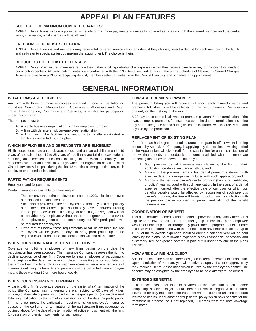## **APPEAL PLAN FEATURES**

#### **SCHEDULE OF MAXIMUM COVERED CHARGES:**

APPEAL Dental Plans include a published schedule of maximum payment allowances for covered services so both the insured member and the dentist know, in advance, what charges will be allowed.

#### **FREEDOM OF DENTIST SELECTION:**

APPEAL Dental Plan insured members may receive full covered services from any dentist they choose, select a dentist for each member of the family, and self-refer to specialists just by making the appointment. The choice is theirs.

#### **REDUCE OUT OF POCKET EXPENSES:**

APPEAL Dental Plan insured members reduce their balance billing out-of-pocket expenses when they receive care from any of the over thousands of participating dentists. All participating dentists are contracted with the PPO Dental network to accept the plan's Schedule of Maximum Covered Charges. To receive care from a PPO participating dentist, members select a dentist from the Dentist Directory and schedule an appointment.

## **GENERAL INFORMATION**

#### **WHAT FIRMS ARE ELIGIBLE?**

Any firm with three or more employees engaged in one of the following industries: Construction; Manufacturing; Government; Wholesale and Retail Trade; Transportation; Commerce and Services; is eligible for participation under this program.

The prospect must be:

- A. A stable business organization with low employee turnover.
- B. A firm with definite employer-employee relationship.
- C. A firm having the facilities and authority to handle administrative functions connected with the plan.

#### **WHICH EMPLOYEES AND DEPENDENTS ARE ELIGIBLE?**

Eligible dependents are an employee's spouse and unmarried children under 19 years of age (also those 19 to 25 years of age if they are full-time day students attending an accredited educational institute). In the event an employee or dependent was not added within 31 days when first eligible, no benefits except Class I services will be paid during the first 12 months following the date any such employee or dependent is added.

#### **PARTICIPATION REQUIREMENTS**

Employees and Dependents

Dental Insurance is available to a firm only if:

- a. The firm pays the entire employee cost so the 100% eligible employee participation is maintained, or
- b. Such plan is provided to the employees of a firm only as a compulsory part of their medical-dental plan so that only those employees enrolling for the "plan" receive the full package of benefits (one segment will not be provided any employee without the other segment). In this event, the employee segment can be contributory, but 75% participation will be required for employees.
- c. Firms that fall below these requirements or fall below three insured employees will be given 90 days to bring participation up to the required levels. If not done, this dental plan will end at that time.

#### **WHEN DOES COVERAGE BECOME EFFECTIVE?**

Coverage for full-time employees of new firms begins on the date the participation has been accepted. The Insurance Company reserves the right to decline acceptance of any firm. Coverage for new employees of participating firms begins on the date they have completed the waiting period stipulated by the firm on their master application. Each employee will receive a certificate of insurance outlining the benefits and provisions of the policy. Full-time employee means those working 30 or more hours weekly.

#### **WHEN DOES INSURANCE TERMINATE?**

A participating firm's coverage ceases on the earlier of (a) termination of the policy (the Company may non-renew the plan subject to 60 days of written notice); (b) due date of premium unpaid within the grace period; (c) due date next following notification by the firm of cancellation; or (d) the date the participating firm no longer meets the participation requirements. An employee's insurance ceases on the earlier of (a) termination of the participating firm's coverage, as outlined above; (b) the date of the termination of active employment with the firm; (c) cessation of premium payments for such person.

#### **HOW ARE PREMIUMS PAYABLE?**

The premium billing you will receive will show each insured's name and premium. Adjustments will be reflected on the next statement. Premiums are due only on the first day of the month.

A 30-day grace period is allowed for premium payment. Upon termination of the plan, all unpaid premiums for insurance up to the date of termination, including any part of the grace period during which the insurance was in force, is due and payable by the participant.

#### **REPLACEMENT OF EXISTING PLAN**

If the firm has had a group dental insurance program in effect which is being replaced by Appeal, the Company, in applying any deductibles or waiting period in the Appeal plan, will give credit for the satisfaction (or partial satisfaction) of the waiting periods and deductible amounts satisfied with the immediate preceding insurance underwriters, but only if:

- 1. Such previous dental insurance was shown by the firm on their application foe dental insurance with us, and
- 2. A copy of the previous carrier's last dental premium statement with effective date of coverage was included with such application, and
- 3. A copy of the pervious carrier's dental program (brochure, certificate, or policy) was included with such application. In the event of a dental expense incurred after the effective date of our plan for which our benefits payable would be affected by recognition of such previous carrier's program, the firm will furnish proof of such satisfaction with the previous carrier sufficient to permit verification of the benefit determination.

#### **COORDINATION OF BENEFIT**

This plan includes a coordination of benefits provision. If any family member is eligible to receive benefits under another group or franchise plan, employee welfare or benefits plan, or through any governmental program, benefits under this plan will be coordinated with the benefits from any other plan so that up to 100% of the "allowable expenses" incurred during a calendar year will be paid jointly by the plans. An "allowable expense" is any reasonable, necessary and customary item of expense covered in part or full under any one of the plans involved.

#### **HOW ARE CLAIMS HANDLED?**

Administration of the plan has been designed to keep paperwork to a minimum. Upon installation of the plan, you will receive a supply of a form approved by the American Dental Association which is used by the employee's dentist. The benefits may be assigned by the employee to be paid directly to the dentist.

#### **EXTENDED BENEFITS**

If insurance ends other than for payment of the maximum benefit, before completing selected major dental treatment which began while insured, insurance for only the incomplete treatment will be extended until the first date insurance begins under another group dental policy which pays benefits for the treatment in process, or if not replaced, 3 months from the date coverage terminated.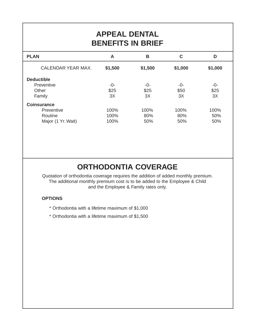# **APPEAL DENTAL BENEFITS IN BRIEF**

| <b>PLAN</b>        | A       | B       | C       | D       |
|--------------------|---------|---------|---------|---------|
| CALENDAR YEAR MAX. | \$1,500 | \$1,500 | \$1,000 | \$1,000 |
| <b>Deductible</b>  |         |         |         |         |
| Preventive         | -0-     | -0-     | -0-     | -0-     |
| Other              | \$25    | \$25    | \$50    | \$25    |
| Family             | 3X      | 3X      | 3X      | 3X      |
| <b>Coinsurance</b> |         |         |         |         |
| Preventive         | 100%    | 100%    | 100%    | 100%    |
| Routine            | 100%    | 80%     | 80%     | 50%     |
| Major (1 Yr. Wait) | 100%    | 50%     | 50%     | 50%     |

# **ORTHODONTIA COVERAGE**

Quotation of orthodontia coverage requires the addition of added monthly premium. The additional monthly premium cost is to be added to the Employee & Child and the Employee & Family rates only.

### **OPTIONS**

- \* Orthodontia with a lifetime maximum of \$1,000
- \* Orthodontia with a lifetime maximum of \$1,500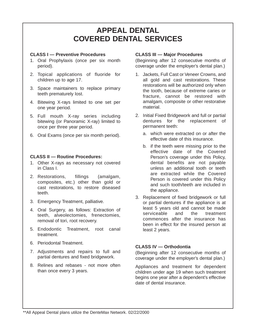## **APPEAL DENTAL COVERED DENTAL SERVICES**

### **CLASS I — Preventive Procedures**

- 1. Oral Prophylaxis (once per six month period).
- 2. Topical applications of fluoride for children up to age 17.
- 3. Space maintainers to replace primary teeth prematurely lost.
- 4. Bitewing X-rays limited to one set per one year period.
- 5. Full mouth X-ray series including bitewing (or Panoramic X-ray) limited to once per three year period.
- 6. Oral Exams (once per six month period).

### **CLASS II — Routine Procedures:**

- 1. Other X-rays as necessary not covered in Class I.
- 2. Restorations, fillings (amalgam, composites, etc.) other than gold or cast restorations, to restore diseased teeth.
- 3. Emergency Treatment, palliative.
- 4. Oral Surgery, as follows: Extraction of teeth, alveolectomies, frenectomies, removal of tori, root recovery.
- 5. Endodontic Treatment, root canal treatment.
- 6. Periodontal Treatment.
- 7. Adjustments and repairs to full and partial dentures and fixed bridgework.
- 8. Relines and rebases not more often than once every 3 years.

### **CLASS III — Major Procedures**

(Beginning after 12 consecutive months of coverage under the employer's dental plan.)

- 1. Jackets, Full Cast or Veneer Crowns, and all gold and cast restorations. These restorations will be authorized only when the tooth, because of extreme caries or fracture, cannot be restored with amalgam, composite or other restorative material.
- 2. Initial Fixed Bridgework and full or partial dentures for the replacement of permanent teeth:
	- a. which were extracted on or after the effective date of this insurance.
	- b. if the teeth were missing prior to the effective date of the Covered Person's coverage under this Policy, dental benefits are not payable unless an additional tooth or teeth are extracted while the Covered Person is covered under this Policy and such tooth/teeth are included in the appliance.
- 3. Replacement of fixed bridgework or full or partial dentures if the appliance is at least 5 years old and cannot be made serviceable and the treatment commences after the insurance has been in effect for the insured person at least 2 years.

### **CLASS IV — Orthodontia**

(Beginning after 12 consecutive months of coverage under the employer's dental plan.)

Appliances and treatment for dependent children under age 19 when such treatment begins one year after a dependent's effective date of dental insurance.